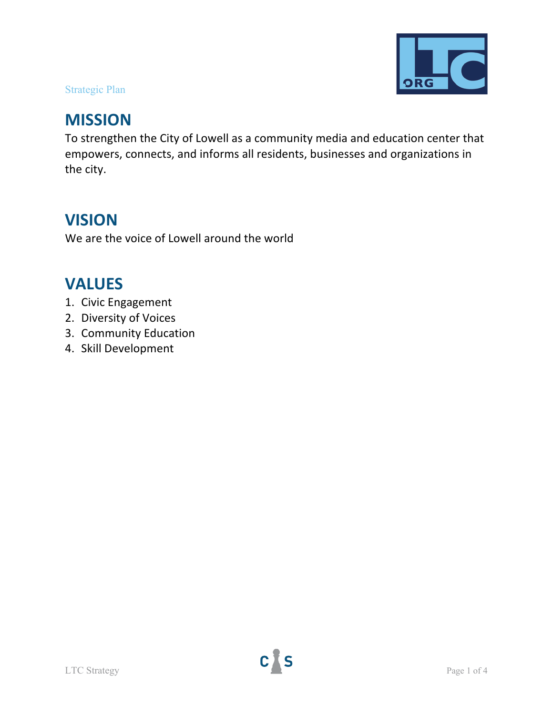

# Strategic Plan

# **MISSION**

To strengthen the City of Lowell as a community media and education center that empowers, connects, and informs all residents, businesses and organizations in the city.

# **VISION**

We are the voice of Lowell around the world

# **VALUES**

- 1. Civic Engagement
- 2. Diversity of Voices
- 3. Community Education
- 4. Skill Development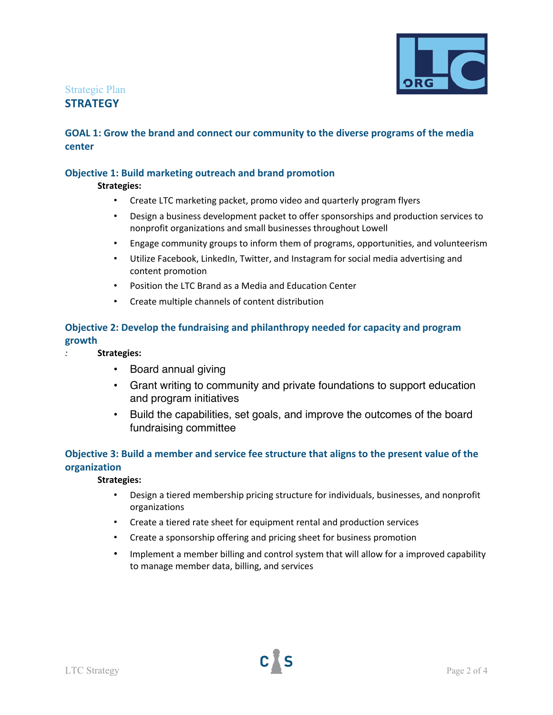

## Strategic Plan **STRATEGY**

## **GOAL 1: Grow the brand and connect our community to the diverse programs of the media center**

## **Objective 1: Build marketing outreach and brand promotion**

**Strategies:**

- Create LTC marketing packet, promo video and quarterly program flyers
- Design a business development packet to offer sponsorships and production services to nonprofit organizations and small businesses throughout Lowell
- Engage community groups to inform them of programs, opportunities, and volunteerism
- Utilize Facebook, LinkedIn, Twitter, and Instagram for social media advertising and content promotion
- Position the LTC Brand as a Media and Education Center
- Create multiple channels of content distribution

## **Objective 2: Develop the fundraising and philanthropy needed for capacity and program growth**

- *:* **Strategies:**
	- Board annual giving
	- Grant writing to community and private foundations to support education and program initiatives
	- Build the capabilities, set goals, and improve the outcomes of the board fundraising committee

## **Objective 3: Build a member and service fee structure that aligns to the present value of the organization**

#### **Strategies:**

- Design a tiered membership pricing structure for individuals, businesses, and nonprofit organizations
- Create a tiered rate sheet for equipment rental and production services
- Create a sponsorship offering and pricing sheet for business promotion
- Implement a member billing and control system that will allow for a improved capability to manage member data, billing, and services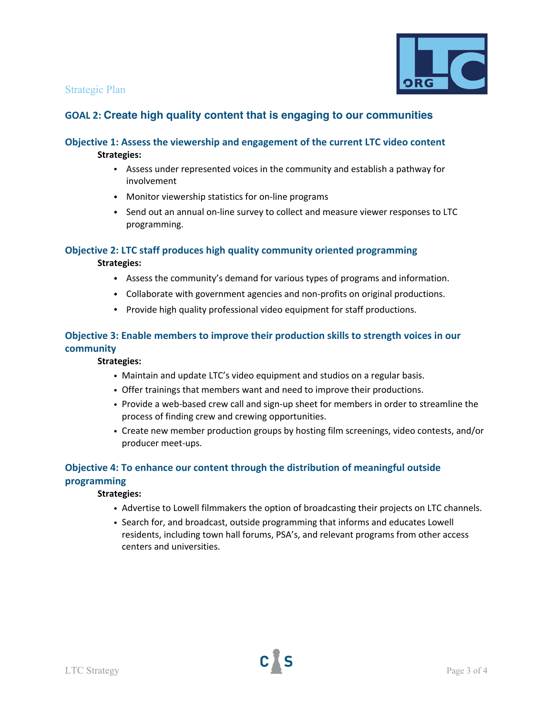### Strategic Plan



# **GOAL 2: Create high quality content that is engaging to our communities**

### **Objective 1: Assess the viewership and engagement of the current LTC video content Strategies:**

- Assess under represented voices in the community and establish a pathway for involvement
- Monitor viewership statistics for on-line programs
- Send out an annual on-line survey to collect and measure viewer responses to LTC programming.

### **Objective 2: LTC staff produces high quality community oriented programming**

#### **Strategies:**

- Assess the community's demand for various types of programs and information.
- Collaborate with government agencies and non-profits on original productions.
- Provide high quality professional video equipment for staff productions.

## **Objective 3: Enable members to improve their production skills to strength voices in our community**

#### **Strategies:**

- Maintain and update LTC's video equipment and studios on a regular basis.
- Offer trainings that members want and need to improve their productions.
- Provide a web-based crew call and sign-up sheet for members in order to streamline the process of finding crew and crewing opportunities.
- Create new member production groups by hosting film screenings, video contests, and/or producer meet-ups.

## **Objective 4: To enhance our content through the distribution of meaningful outside programming**

#### **Strategies:**

- Advertise to Lowell filmmakers the option of broadcasting their projects on LTC channels.
- Search for, and broadcast, outside programming that informs and educates Lowell residents, including town hall forums, PSA's, and relevant programs from other access centers and universities.